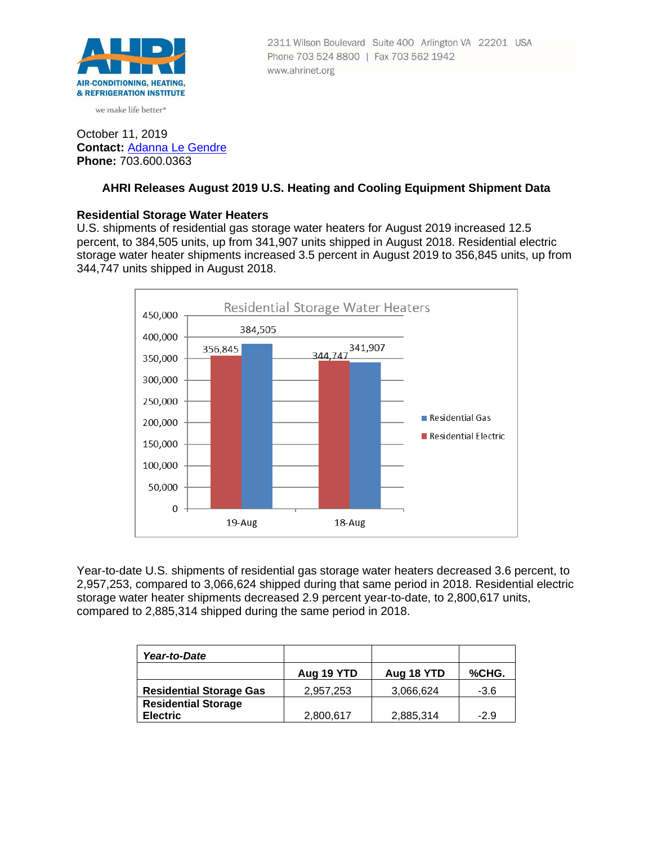

we make life better<sup>®</sup>

## 2311 Wilson Boulevard Suite 400 Arlington VA 22201 USA Phone 703 524 8800 | Fax 703 562 1942 www.ahrinet.org

# October 11, 2019 **Contact:** [Adanna Le Gendre](mailto:AleGendre@ahrinet.org) **Phone:** 703.600.0363

# **AHRI Releases August 2019 U.S. Heating and Cooling Equipment Shipment Data**

# **Residential Storage Water Heaters**

U.S. shipments of residential gas storage water heaters for August 2019 increased 12.5 percent, to 384,505 units, up from 341,907 units shipped in August 2018. Residential electric storage water heater shipments increased 3.5 percent in August 2019 to 356,845 units, up from 344,747 units shipped in August 2018.



Year-to-date U.S. shipments of residential gas storage water heaters decreased 3.6 percent, to 2,957,253, compared to 3,066,624 shipped during that same period in 2018. Residential electric storage water heater shipments decreased 2.9 percent year-to-date, to 2,800,617 units, compared to 2,885,314 shipped during the same period in 2018.

| Year-to-Date                   |            |            |        |
|--------------------------------|------------|------------|--------|
|                                | Aug 19 YTD | Aug 18 YTD | %CHG.  |
| <b>Residential Storage Gas</b> | 2,957,253  | 3,066,624  | $-3.6$ |
| <b>Residential Storage</b>     |            |            |        |
| <b>Electric</b>                | 2,800,617  | 2,885,314  | $-2.9$ |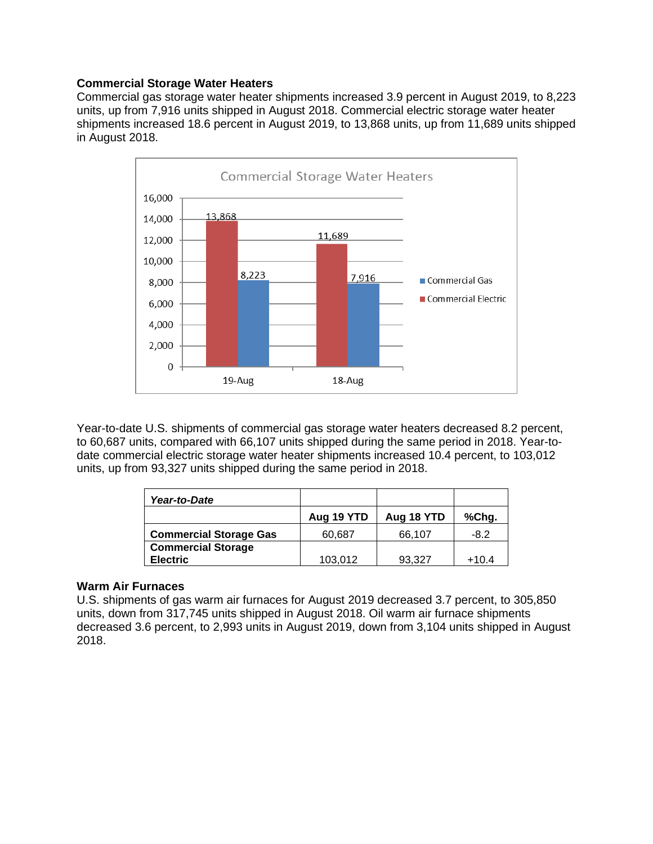### **Commercial Storage Water Heaters**

Commercial gas storage water heater shipments increased 3.9 percent in August 2019, to 8,223 units, up from 7,916 units shipped in August 2018. Commercial electric storage water heater shipments increased 18.6 percent in August 2019, to 13,868 units, up from 11,689 units shipped in August 2018.



Year-to-date U.S. shipments of commercial gas storage water heaters decreased 8.2 percent, to 60,687 units, compared with 66,107 units shipped during the same period in 2018. Year-todate commercial electric storage water heater shipments increased 10.4 percent, to 103,012 units, up from 93,327 units shipped during the same period in 2018.

| Year-to-Date                  |            |            |         |
|-------------------------------|------------|------------|---------|
|                               | Aug 19 YTD | Aug 18 YTD | %Chg.   |
| <b>Commercial Storage Gas</b> | 60,687     | 66,107     | -8.2    |
| <b>Commercial Storage</b>     |            |            |         |
| <b>Electric</b>               | 103,012    | 93,327     | $+10.4$ |

# **Warm Air Furnaces**

U.S. shipments of gas warm air furnaces for August 2019 decreased 3.7 percent, to 305,850 units, down from 317,745 units shipped in August 2018. Oil warm air furnace shipments decreased 3.6 percent, to 2,993 units in August 2019, down from 3,104 units shipped in August 2018.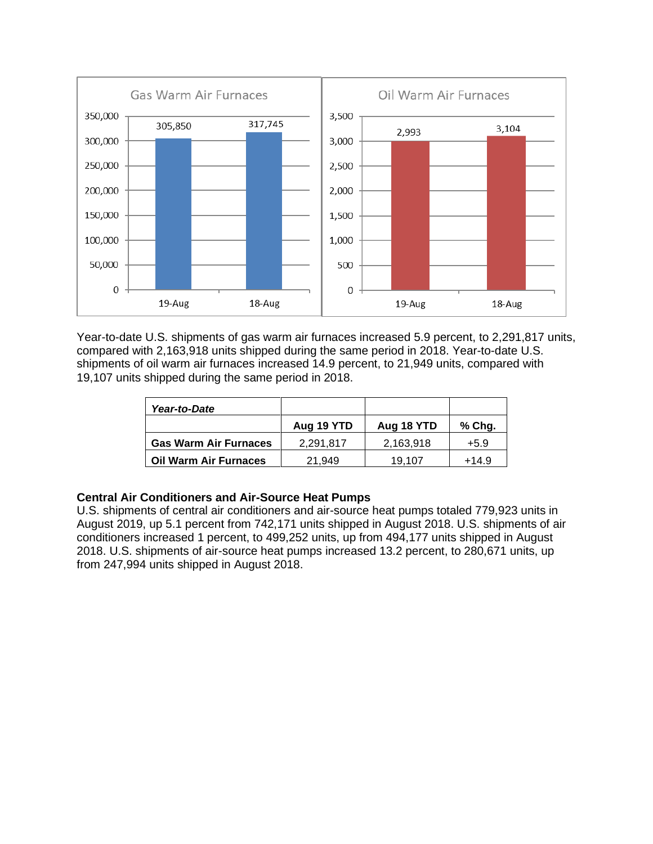

Year-to-date U.S. shipments of gas warm air furnaces increased 5.9 percent, to 2,291,817 units, compared with 2,163,918 units shipped during the same period in 2018. Year-to-date U.S. shipments of oil warm air furnaces increased 14.9 percent, to 21,949 units, compared with 19,107 units shipped during the same period in 2018.

| Year-to-Date                 |            |            |         |
|------------------------------|------------|------------|---------|
|                              | Aug 19 YTD | Aug 18 YTD | % Chg.  |
| <b>Gas Warm Air Furnaces</b> | 2,291,817  | 2,163,918  | $+5.9$  |
| <b>Oil Warm Air Furnaces</b> | 21.949     | 19.107     | $+14.9$ |

# **Central Air Conditioners and Air-Source Heat Pumps**

U.S. shipments of central air conditioners and air-source heat pumps totaled 779,923 units in August 2019, up 5.1 percent from 742,171 units shipped in August 2018. U.S. shipments of air conditioners increased 1 percent, to 499,252 units, up from 494,177 units shipped in August 2018. U.S. shipments of air-source heat pumps increased 13.2 percent, to 280,671 units, up from 247,994 units shipped in August 2018.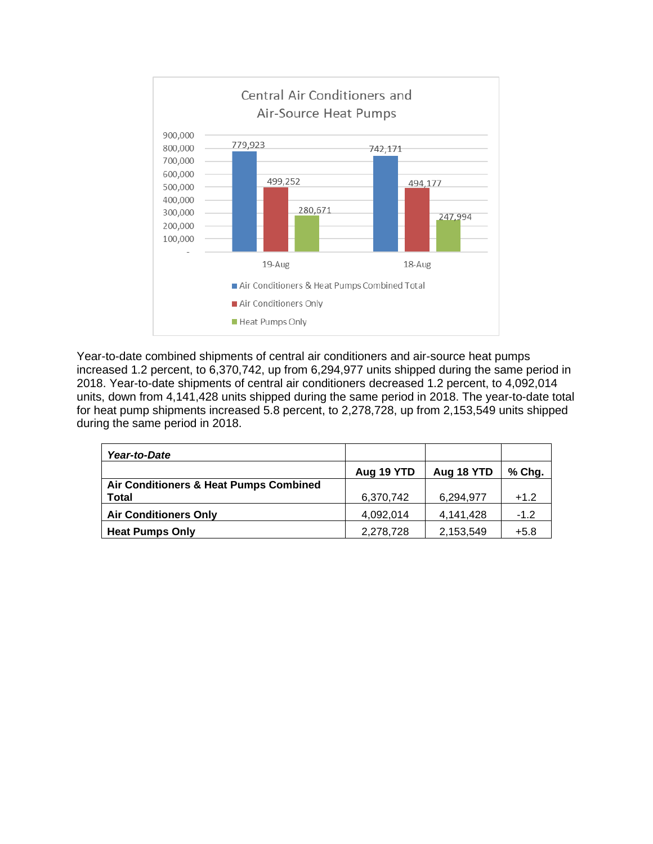

Year-to-date combined shipments of central air conditioners and air-source heat pumps increased 1.2 percent, to 6,370,742, up from 6,294,977 units shipped during the same period in 2018. Year-to-date shipments of central air conditioners decreased 1.2 percent, to 4,092,014 units, down from 4,141,428 units shipped during the same period in 2018. The year-to-date total for heat pump shipments increased 5.8 percent, to 2,278,728, up from 2,153,549 units shipped during the same period in 2018.

| Year-to-Date                           |            |            |          |
|----------------------------------------|------------|------------|----------|
|                                        | Aug 19 YTD | Aug 18 YTD | $%$ Chg. |
| Air Conditioners & Heat Pumps Combined |            |            |          |
| <b>Total</b>                           | 6,370,742  | 6,294,977  | $+1.2$   |
| <b>Air Conditioners Only</b>           | 4,092,014  | 4,141,428  | $-1.2$   |
| <b>Heat Pumps Only</b>                 | 2,278,728  | 2,153,549  | $+5.8$   |